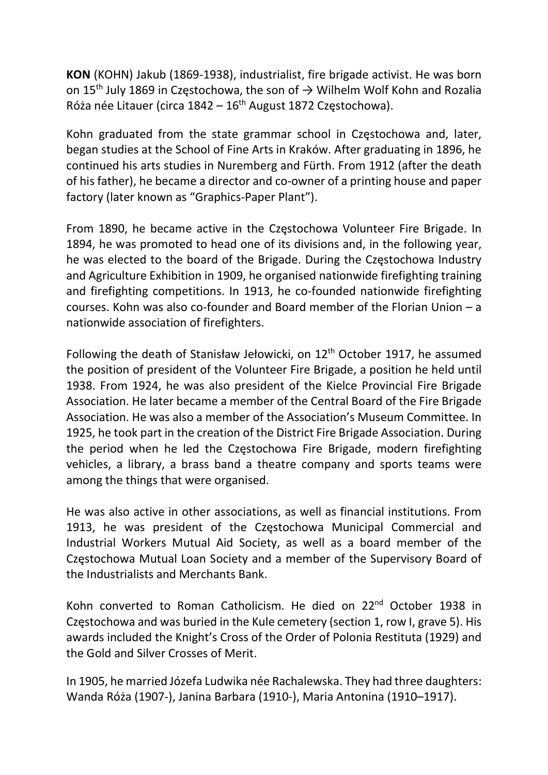KON (KOHN) Jakub (1869-1938), industrialist, fire brigade activist. He was born on 15<sup>th</sup> July 1869 in Częstochowa, the son of  $\rightarrow$  Wilhelm Wolf Kohn and Rozalia Róża née Litauer (circa  $1842 - 16$ <sup>th</sup> August 1872 Częstochowa).

Kohn graduated from the state grammar school in Częstochowa and, later, began studies at the School of Fine Arts in Kraków. After graduating in 1896, he continued his arts studies in Nuremberg and Fürth. From 1912 (after the death of his father), he became a director and co-owner of a printing house and paper factory (later known as "Graphics-Paper Plant").

From 1890, he became active in the Częstochowa Volunteer Fire Brigade. In 1894, he was promoted to head one of its divisions and, in the following year, he was elected to the board of the Brigade. During the Częstochowa Industry and Agriculture Exhibition in 1909, he organised nationwide firefighting training and firefighting competitions. In 1913, he co-founded nationwide firefighting courses. Kohn was also co-founder and Board member of the Florian Union – a nationwide association of firefighters.

Following the death of Stanisław Jełowicki, on  $12<sup>th</sup>$  October 1917, he assumed the position of president of the Volunteer Fire Brigade, a position he held until 1938. From 1924, he was also president of the Kielce Provincial Fire Brigade Association. He later became a member of the Central Board of the Fire Brigade Association. He was also a member of the Association's Museum Committee. In 1925, he took part in the creation of the District Fire Brigade Association. During the period when he led the Częstochowa Fire Brigade, modern firefighting vehicles, a library, a brass band a theatre company and sports teams were among the things that were organised.

He was also active in other associations, as well as financial institutions. From 1913, he was president of the Częstochowa Municipal Commercial and Industrial Workers Mutual Aid Society, as well as a board member of the Częstochowa Mutual Loan Society and a member of the Supervisory Board of the Industrialists and Merchants Bank.

Kohn converted to Roman Catholicism. He died on 22<sup>nd</sup> October 1938 in Częstochowa and was buried in the Kule cemetery (section 1, row I, grave 5). His awards included the Knight's Cross of the Order of Polonia Restituta (1929) and the Gold and Silver Crosses of Merit.

In 1905, he married Józefa Ludwika née Rachalewska. They had three daughters: Wanda Róża (1907-), Janina Barbara (1910-), Maria Antonina (1910–1917).